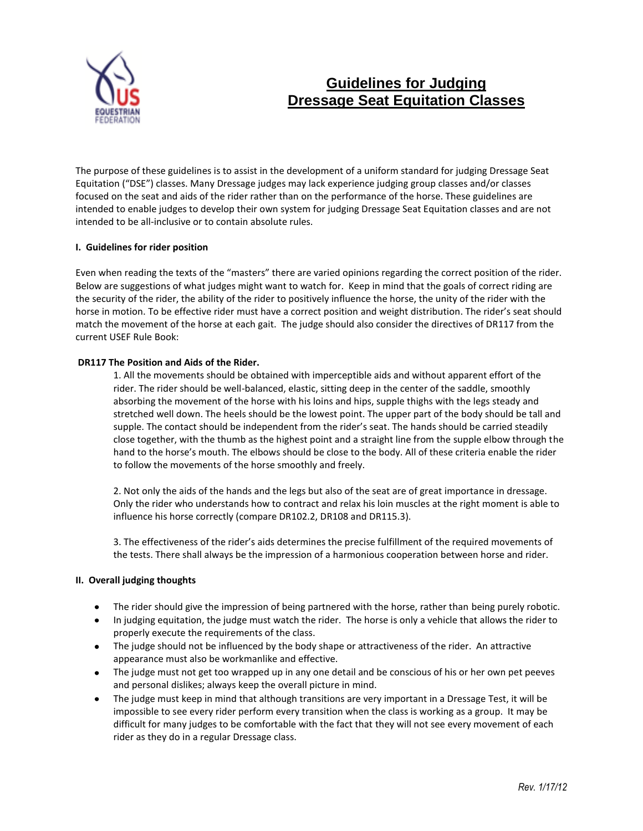

# **Guidelines for Judging Dressage Seat Equitation Classes**

The purpose of these guidelines is to assist in the development of a uniform standard for judging Dressage Seat Equitation ("DSE") classes. Many Dressage judges may lack experience judging group classes and/or classes focused on the seat and aids of the rider rather than on the performance of the horse. These guidelines are intended to enable judges to develop their own system for judging Dressage Seat Equitation classes and are not intended to be all-inclusive or to contain absolute rules.

## **I. Guidelines for rider position**

Even when reading the texts of the "masters" there are varied opinions regarding the correct position of the rider. Below are suggestions of what judges might want to watch for. Keep in mind that the goals of correct riding are the security of the rider, the ability of the rider to positively influence the horse, the unity of the rider with the horse in motion. To be effective rider must have a correct position and weight distribution. The rider's seat should match the movement of the horse at each gait. The judge should also consider the directives of DR117 from the current USEF Rule Book:

#### **DR117 The Position and Aids of the Rider.**

1. All the movements should be obtained with imperceptible aids and without apparent effort of the rider. The rider should be well-balanced, elastic, sitting deep in the center of the saddle, smoothly absorbing the movement of the horse with his loins and hips, supple thighs with the legs steady and stretched well down. The heels should be the lowest point. The upper part of the body should be tall and supple. The contact should be independent from the rider's seat. The hands should be carried steadily close together, with the thumb as the highest point and a straight line from the supple elbow through the hand to the horse's mouth. The elbows should be close to the body. All of these criteria enable the rider to follow the movements of the horse smoothly and freely.

2. Not only the aids of the hands and the legs but also of the seat are of great importance in dressage. Only the rider who understands how to contract and relax his loin muscles at the right moment is able to influence his horse correctly (compare DR102.2, DR108 and DR115.3).

3. The effectiveness of the rider's aids determines the precise fulfillment of the required movements of the tests. There shall always be the impression of a harmonious cooperation between horse and rider.

## **II. Overall judging thoughts**

- The rider should give the impression of being partnered with the horse, rather than being purely robotic.
- In judging equitation, the judge must watch the rider. The horse is only a vehicle that allows the rider to properly execute the requirements of the class.
- The judge should not be influenced by the body shape or attractiveness of the rider. An attractive appearance must also be workmanlike and effective.
- The judge must not get too wrapped up in any one detail and be conscious of his or her own pet peeves and personal dislikes; always keep the overall picture in mind.
- The judge must keep in mind that although transitions are very important in a Dressage Test, it will be  $\bullet$ impossible to see every rider perform every transition when the class is working as a group. It may be difficult for many judges to be comfortable with the fact that they will not see every movement of each rider as they do in a regular Dressage class.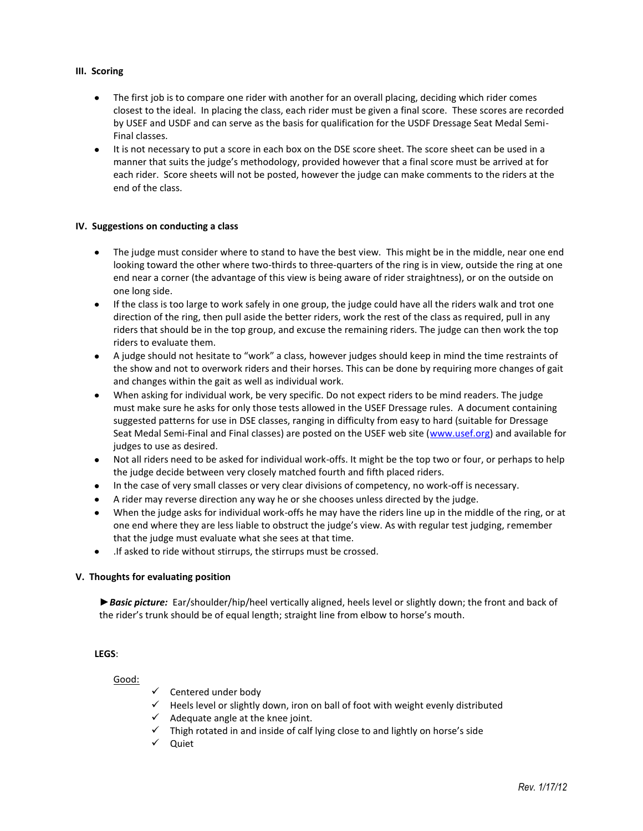### **III. Scoring**

- The first job is to compare one rider with another for an overall placing, deciding which rider comes closest to the ideal. In placing the class, each rider must be given a final score. These scores are recorded by USEF and USDF and can serve as the basis for qualification for the USDF Dressage Seat Medal Semi-Final classes.
- It is not necessary to put a score in each box on the DSE score sheet. The score sheet can be used in a manner that suits the judge's methodology, provided however that a final score must be arrived at for each rider. Score sheets will not be posted, however the judge can make comments to the riders at the end of the class.

#### **IV. Suggestions on conducting a class**

- The judge must consider where to stand to have the best view. This might be in the middle, near one end  $\bullet$ looking toward the other where two-thirds to three-quarters of the ring is in view, outside the ring at one end near a corner (the advantage of this view is being aware of rider straightness), or on the outside on one long side.
- $\bullet$ If the class is too large to work safely in one group, the judge could have all the riders walk and trot one direction of the ring, then pull aside the better riders, work the rest of the class as required, pull in any riders that should be in the top group, and excuse the remaining riders. The judge can then work the top riders to evaluate them.
- A judge should not hesitate to "work" a class, however judges should keep in mind the time restraints of the show and not to overwork riders and their horses. This can be done by requiring more changes of gait and changes within the gait as well as individual work.
- When asking for individual work, be very specific. Do not expect riders to be mind readers. The judge  $\bullet$ must make sure he asks for only those tests allowed in the USEF Dressage rules. A document containing suggested patterns for use in DSE classes, ranging in difficulty from easy to hard (suitable for Dressage Seat Medal Semi-Final and Final classes) are posted on the USEF web site (www.usef.org) and available for judges to use as desired.
- Not all riders need to be asked for individual work-offs. It might be the top two or four, or perhaps to help the judge decide between very closely matched fourth and fifth placed riders.
- In the case of very small classes or very clear divisions of competency, no work-off is necessary.
- A rider may reverse direction any way he or she chooses unless directed by the judge.
- When the judge asks for individual work-offs he may have the riders line up in the middle of the ring, or at one end where they are less liable to obstruct the judge's view. As with regular test judging, remember that the judge must evaluate what she sees at that time.
- .If asked to ride without stirrups, the stirrups must be crossed.  $\bullet$

## **V. Thoughts for evaluating position**

*►Basic picture:* Ear/shoulder/hip/heel vertically aligned, heels level or slightly down; the front and back of the rider's trunk should be of equal length; straight line from elbow to horse's mouth.

#### **LEGS**:

## Good:

- $\checkmark$  Centered under body
- $\checkmark$  Heels level or slightly down, iron on ball of foot with weight evenly distributed
- $\checkmark$  Adequate angle at the knee joint.
- $\checkmark$  Thigh rotated in and inside of calf lying close to and lightly on horse's side
- $\checkmark$  Quiet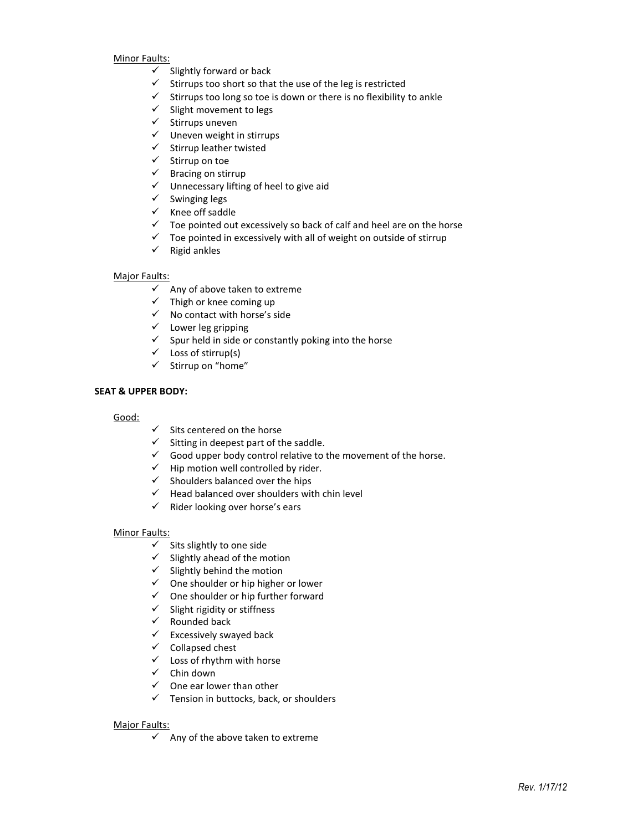Minor Faults:

- $\checkmark$  Slightly forward or back
- $\checkmark$  Stirrups too short so that the use of the leg is restricted
- $\checkmark$  Stirrups too long so toe is down or there is no flexibility to ankle
- $\checkmark$  Slight movement to legs
- $\checkmark$  Stirrups uneven
- $\checkmark$  Uneven weight in stirrups
- $\checkmark$  Stirrup leather twisted
- $\checkmark$  Stirrup on toe
- $\checkmark$  Bracing on stirrup
- $\checkmark$  Unnecessary lifting of heel to give aid
- $\checkmark$  Swinging legs
- $\checkmark$  Knee off saddle
- $\checkmark$  Toe pointed out excessively so back of calf and heel are on the horse
- $\checkmark$  Toe pointed in excessively with all of weight on outside of stirrup
- $\checkmark$  Rigid ankles

#### Major Faults:

- $\checkmark$  Any of above taken to extreme
- $\checkmark$  Thigh or knee coming up
- $\checkmark$  No contact with horse's side
- $\checkmark$  Lower leg gripping
- $\checkmark$  Spur held in side or constantly poking into the horse
- $\checkmark$  Loss of stirrup(s)
- $\checkmark$  Stirrup on "home"

#### **SEAT & UPPER BODY:**

#### Good:

- $\checkmark$  Sits centered on the horse
- $\checkmark$  Sitting in deepest part of the saddle.
- $\checkmark$  Good upper body control relative to the movement of the horse.
- $\checkmark$  Hip motion well controlled by rider.
- $\checkmark$  Shoulders balanced over the hips
- $\checkmark$  Head balanced over shoulders with chin level
- $\checkmark$  Rider looking over horse's ears

#### Minor Faults:

- $\checkmark$  Sits slightly to one side
- $\checkmark$  Slightly ahead of the motion
- $\checkmark$  Slightly behind the motion
- $\checkmark$  One shoulder or hip higher or lower
- $\checkmark$  One shoulder or hip further forward
- $\checkmark$  Slight rigidity or stiffness
- $\checkmark$  Rounded back
- $\checkmark$  Excessively swayed back
- $\checkmark$  Collapsed chest
- $\checkmark$  Loss of rhythm with horse
- $\checkmark$  Chin down
- $\checkmark$  One ear lower than other
- $\checkmark$  Tension in buttocks, back, or shoulders

#### Major Faults:

 $\checkmark$  Any of the above taken to extreme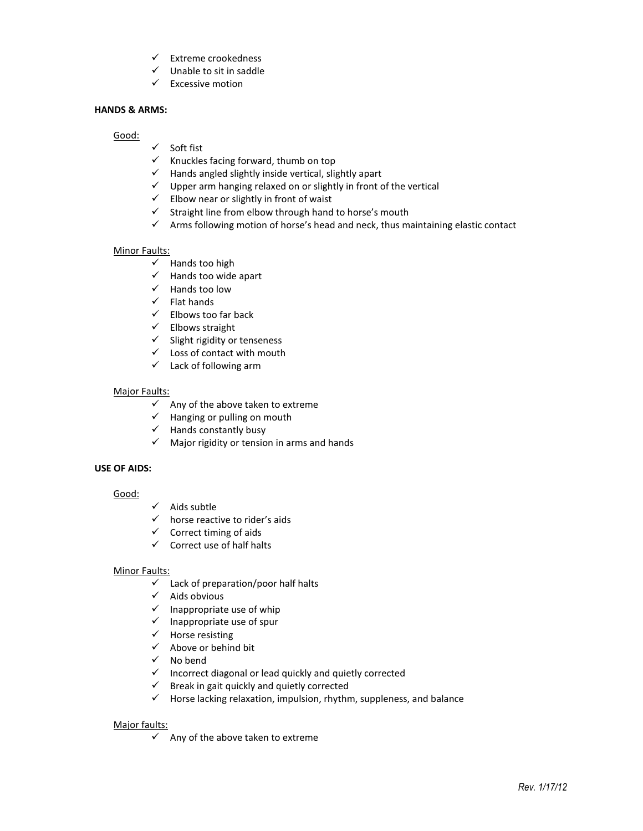- $\checkmark$  Extreme crookedness
- $\checkmark$  Unable to sit in saddle
- $\checkmark$  Excessive motion

### **HANDS & ARMS:**

Good:

- $\checkmark$  Soft fist
- $\checkmark$  Knuckles facing forward, thumb on top
- $\checkmark$  Hands angled slightly inside vertical, slightly apart
- $\checkmark$  Upper arm hanging relaxed on or slightly in front of the vertical
- $\checkmark$  Elbow near or slightly in front of waist
- $\checkmark$  Straight line from elbow through hand to horse's mouth
- $\checkmark$  Arms following motion of horse's head and neck, thus maintaining elastic contact

#### **Minor Faults:**

- $\checkmark$  Hands too high
- $\checkmark$  Hands too wide apart
- $\checkmark$  Hands too low
- $\checkmark$  Flat hands
- $\checkmark$  Elbows too far back
- $\checkmark$  Elbows straight
- $\checkmark$  Slight rigidity or tenseness
- $\checkmark$  Loss of contact with mouth
- $\checkmark$  Lack of following arm

## Major Faults:

- $\checkmark$  Any of the above taken to extreme
- $\checkmark$  Hanging or pulling on mouth
- $\checkmark$  Hands constantly busy
- $\checkmark$  Major rigidity or tension in arms and hands

## **USE OF AIDS:**

## Good:

- $\checkmark$  Aids subtle
- $\checkmark$  horse reactive to rider's aids
- $\checkmark$  Correct timing of aids
- $\checkmark$  Correct use of half halts

## Minor Faults:

- $\checkmark$  Lack of preparation/poor half halts
- $\checkmark$  Aids obvious
- $\checkmark$  Inappropriate use of whip
- $\checkmark$  Inappropriate use of spur
- $\checkmark$  Horse resisting
- $\checkmark$  Above or behind bit
- $\checkmark$  No bend
- $\checkmark$  Incorrect diagonal or lead quickly and quietly corrected
- $\checkmark$  Break in gait quickly and quietly corrected
- $\checkmark$  Horse lacking relaxation, impulsion, rhythm, suppleness, and balance

## Major faults:

 $\checkmark$  Any of the above taken to extreme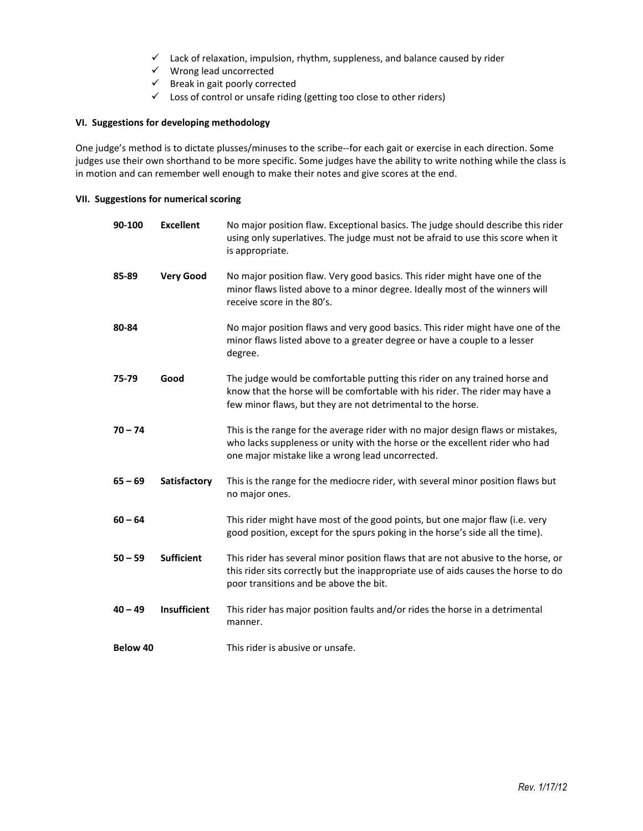- $\checkmark$  Lack of relaxation, impulsion, rhythm, suppleness, and balance caused by rider
- $\checkmark$  Wrong lead uncorrected
- $\checkmark$  Break in gait poorly corrected
- $\checkmark$  Loss of control or unsafe riding (getting too close to other riders)

### **VI. Suggestions for developing methodology**

One judge's method is to dictate plusses/minuses to the scribe--for each gait or exercise in each direction. Some judges use their own shorthand to be more specific. Some judges have the ability to write nothing while the class is in motion and can remember well enough to make their notes and give scores at the end.

#### **VII. Suggestions for numerical scoring**

| 90-100    | <b>Excellent</b>  | No major position flaw. Exceptional basics. The judge should describe this rider<br>using only superlatives. The judge must not be afraid to use this score when it<br>is appropriate.                                    |
|-----------|-------------------|---------------------------------------------------------------------------------------------------------------------------------------------------------------------------------------------------------------------------|
| 85-89     | <b>Very Good</b>  | No major position flaw. Very good basics. This rider might have one of the<br>minor flaws listed above to a minor degree. Ideally most of the winners will<br>receive score in the 80's.                                  |
| 80-84     |                   | No major position flaws and very good basics. This rider might have one of the<br>minor flaws listed above to a greater degree or have a couple to a lesser<br>degree.                                                    |
| 75-79     | Good              | The judge would be comfortable putting this rider on any trained horse and<br>know that the horse will be comfortable with his rider. The rider may have a<br>few minor flaws, but they are not detrimental to the horse. |
| $70 - 74$ |                   | This is the range for the average rider with no major design flaws or mistakes,<br>who lacks suppleness or unity with the horse or the excellent rider who had<br>one major mistake like a wrong lead uncorrected.        |
| $65 - 69$ | Satisfactory      | This is the range for the mediocre rider, with several minor position flaws but<br>no major ones.                                                                                                                         |
| $60 - 64$ |                   | This rider might have most of the good points, but one major flaw (i.e. very<br>good position, except for the spurs poking in the horse's side all the time).                                                             |
| $50 - 59$ | <b>Sufficient</b> | This rider has several minor position flaws that are not abusive to the horse, or<br>this rider sits correctly but the inappropriate use of aids causes the horse to do<br>poor transitions and be above the bit.         |
| $40 - 49$ | Insufficient      | This rider has major position faults and/or rides the horse in a detrimental<br>manner.                                                                                                                                   |
| Below 40  |                   | This rider is abusive or unsafe.                                                                                                                                                                                          |